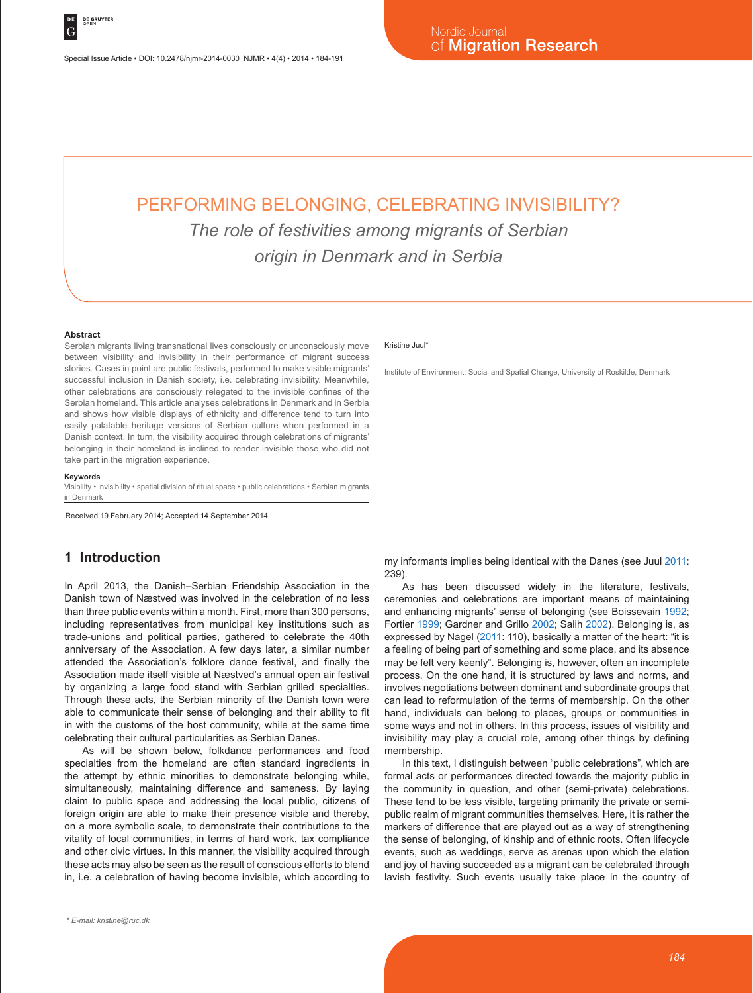# PERFORMING BELONGING, CELEBRATING INVISIBILITY? *The role of festivities among migrants of Serbian origin in Denmark and in Serbia*

#### **Abstract**

Serbian migrants living transnational lives consciously or unconsciously move between visibility and invisibility in their performance of migrant success stories. Cases in point are public festivals, performed to make visible migrants' successful inclusion in Danish society, i.e. celebrating invisibility. Meanwhile, other celebrations are consciously relegated to the invisible confines of the Serbian homeland. This article analyses celebrations in Denmark and in Serbia and shows how visible displays of ethnicity and difference tend to turn into easily palatable heritage versions of Serbian culture when performed in a Danish context. In turn, the visibility acquired through celebrations of migrants' belonging in their homeland is inclined to render invisible those who did not take part in the migration experience.

#### **Keywords**

Visibility • invisibility • spatial division of ritual space • public celebrations • Serbian migrants in Denmark

Received 19 February 2014; Accepted 14 September 2014

### **1 Introduction**

In April 2013, the Danish–Serbian Friendship Association in the Danish town of Næstved was involved in the celebration of no less than three public events within a month. First, more than 300 persons, including representatives from municipal key institutions such as trade-unions and political parties, gathered to celebrate the 40th anniversary of the Association. A few days later, a similar number attended the Association's folklore dance festival, and finally the Association made itself visible at Næstved's annual open air festival by organizing a large food stand with Serbian grilled specialties. Through these acts, the Serbian minority of the Danish town were able to communicate their sense of belonging and their ability to fit in with the customs of the host community, while at the same time celebrating their cultural particularities as Serbian Danes.

As will be shown below, folkdance performances and food specialties from the homeland are often standard ingredients in the attempt by ethnic minorities to demonstrate belonging while, simultaneously, maintaining difference and sameness. By laying claim to public space and addressing the local public, citizens of foreign origin are able to make their presence visible and thereby, on a more symbolic scale, to demonstrate their contributions to the vitality of local communities, in terms of hard work, tax compliance and other civic virtues. In this manner, the visibility acquired through these acts may also be seen as the result of conscious efforts to blend in, i.e. a celebration of having become invisible, which according to

#### Kristine Juul\*

Institute of Environment, Social and Spatial Change, University of Roskilde, Denmark

my informants implies being identical with the Danes (see Juul 2011: 239).

As has been discussed widely in the literature, festivals, ceremonies and celebrations are important means of maintaining and enhancing migrants' sense of belonging (see Boissevain 1992; Fortier 1999; Gardner and Grillo 2002; Salih 2002). Belonging is, as expressed by Nagel (2011: 110), basically a matter of the heart: "it is a feeling of being part of something and some place, and its absence may be felt very keenly". Belonging is, however, often an incomplete process. On the one hand, it is structured by laws and norms, and involves negotiations between dominant and subordinate groups that can lead to reformulation of the terms of membership. On the other hand, individuals can belong to places, groups or communities in some ways and not in others. In this process, issues of visibility and invisibility may play a crucial role, among other things by defining membership.

In this text, I distinguish between "public celebrations", which are formal acts or performances directed towards the majority public in the community in question, and other (semi-private) celebrations. These tend to be less visible, targeting primarily the private or semipublic realm of migrant communities themselves. Here, it is rather the markers of difference that are played out as a way of strengthening the sense of belonging, of kinship and of ethnic roots. Often lifecycle events, such as weddings, serve as arenas upon which the elation and joy of having succeeded as a migrant can be celebrated through lavish festivity. Such events usually take place in the country of

*<sup>\*</sup> E-mail: kristine@ruc.dk*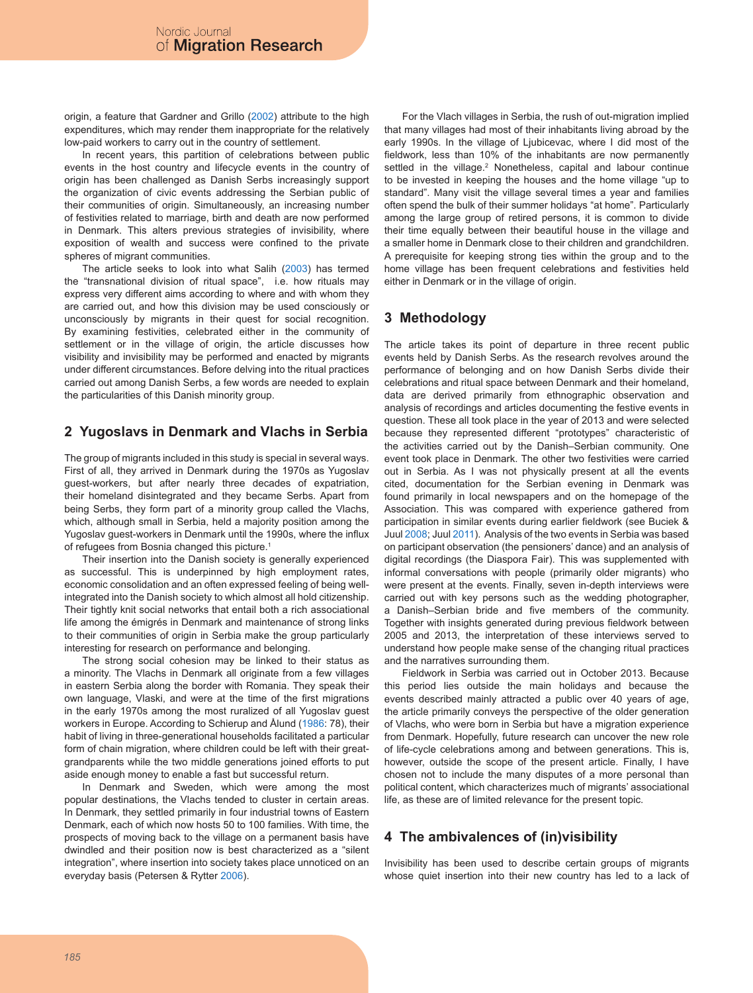origin, a feature that Gardner and Grillo (2002) attribute to the high expenditures, which may render them inappropriate for the relatively low-paid workers to carry out in the country of settlement.

In recent years, this partition of celebrations between public events in the host country and lifecycle events in the country of origin has been challenged as Danish Serbs increasingly support the organization of civic events addressing the Serbian public of their communities of origin. Simultaneously, an increasing number of festivities related to marriage, birth and death are now performed in Denmark. This alters previous strategies of invisibility, where exposition of wealth and success were confined to the private spheres of migrant communities.

The article seeks to look into what Salih (2003) has termed the "transnational division of ritual space", i.e. how rituals may express very different aims according to where and with whom they are carried out, and how this division may be used consciously or unconsciously by migrants in their quest for social recognition. By examining festivities, celebrated either in the community of settlement or in the village of origin, the article discusses how visibility and invisibility may be performed and enacted by migrants under different circumstances. Before delving into the ritual practices carried out among Danish Serbs, a few words are needed to explain the particularities of this Danish minority group.

### **2 Yugoslavs in Denmark and Vlachs in Serbia**

The group of migrants included in this study is special in several ways. First of all, they arrived in Denmark during the 1970s as Yugoslav guest-workers, but after nearly three decades of expatriation, their homeland disintegrated and they became Serbs. Apart from being Serbs, they form part of a minority group called the Vlachs, which, although small in Serbia, held a majority position among the Yugoslav guest-workers in Denmark until the 1990s, where the influx of refugees from Bosnia changed this picture.<sup>1</sup>

Their insertion into the Danish society is generally experienced as successful. This is underpinned by high employment rates, economic consolidation and an often expressed feeling of being wellintegrated into the Danish society to which almost all hold citizenship. Their tightly knit social networks that entail both a rich associational life among the émigrés in Denmark and maintenance of strong links to their communities of origin in Serbia make the group particularly interesting for research on performance and belonging.

The strong social cohesion may be linked to their status as a minority. The Vlachs in Denmark all originate from a few villages in eastern Serbia along the border with Romania. They speak their own language, Vlaski, and were at the time of the first migrations in the early 1970s among the most ruralized of all Yugoslav guest workers in Europe. According to Schierup and Ålund (1986: 78), their habit of living in three-generational households facilitated a particular form of chain migration, where children could be left with their greatgrandparents while the two middle generations joined efforts to put aside enough money to enable a fast but successful return.

In Denmark and Sweden, which were among the most popular destinations, the Vlachs tended to cluster in certain areas. In Denmark, they settled primarily in four industrial towns of Eastern Denmark, each of which now hosts 50 to 100 families. With time, the prospects of moving back to the village on a permanent basis have dwindled and their position now is best characterized as a "silent integration", where insertion into society takes place unnoticed on an everyday basis (Petersen & Rytter 2006).

For the Vlach villages in Serbia, the rush of out-migration implied that many villages had most of their inhabitants living abroad by the early 1990s. In the village of Ljubicevac, where I did most of the fieldwork, less than 10% of the inhabitants are now permanently settled in the village.<sup>2</sup> Nonetheless, capital and labour continue to be invested in keeping the houses and the home village "up to standard". Many visit the village several times a year and families often spend the bulk of their summer holidays "at home". Particularly among the large group of retired persons, it is common to divide their time equally between their beautiful house in the village and a smaller home in Denmark close to their children and grandchildren. A prerequisite for keeping strong ties within the group and to the home village has been frequent celebrations and festivities held either in Denmark or in the village of origin.

# **3 Methodology**

The article takes its point of departure in three recent public events held by Danish Serbs. As the research revolves around the performance of belonging and on how Danish Serbs divide their celebrations and ritual space between Denmark and their homeland, data are derived primarily from ethnographic observation and analysis of recordings and articles documenting the festive events in question. These all took place in the year of 2013 and were selected because they represented different "prototypes" characteristic of the activities carried out by the Danish–Serbian community. One event took place in Denmark. The other two festivities were carried out in Serbia. As I was not physically present at all the events cited, documentation for the Serbian evening in Denmark was found primarily in local newspapers and on the homepage of the Association. This was compared with experience gathered from participation in similar events during earlier fieldwork (see Buciek & Juul 2008; Juul 2011). Analysis of the two events in Serbia was based on participant observation (the pensioners' dance) and an analysis of digital recordings (the Diaspora Fair). This was supplemented with informal conversations with people (primarily older migrants) who were present at the events. Finally, seven in-depth interviews were carried out with key persons such as the wedding photographer, a Danish–Serbian bride and five members of the community. Together with insights generated during previous fieldwork between 2005 and 2013, the interpretation of these interviews served to understand how people make sense of the changing ritual practices and the narratives surrounding them.

Fieldwork in Serbia was carried out in October 2013. Because this period lies outside the main holidays and because the events described mainly attracted a public over 40 years of age, the article primarily conveys the perspective of the older generation of Vlachs, who were born in Serbia but have a migration experience from Denmark. Hopefully, future research can uncover the new role of life-cycle celebrations among and between generations. This is, however, outside the scope of the present article. Finally, I have chosen not to include the many disputes of a more personal than political content, which characterizes much of migrants' associational life, as these are of limited relevance for the present topic.

# **4 The ambivalences of (in)visibility**

Invisibility has been used to describe certain groups of migrants whose quiet insertion into their new country has led to a lack of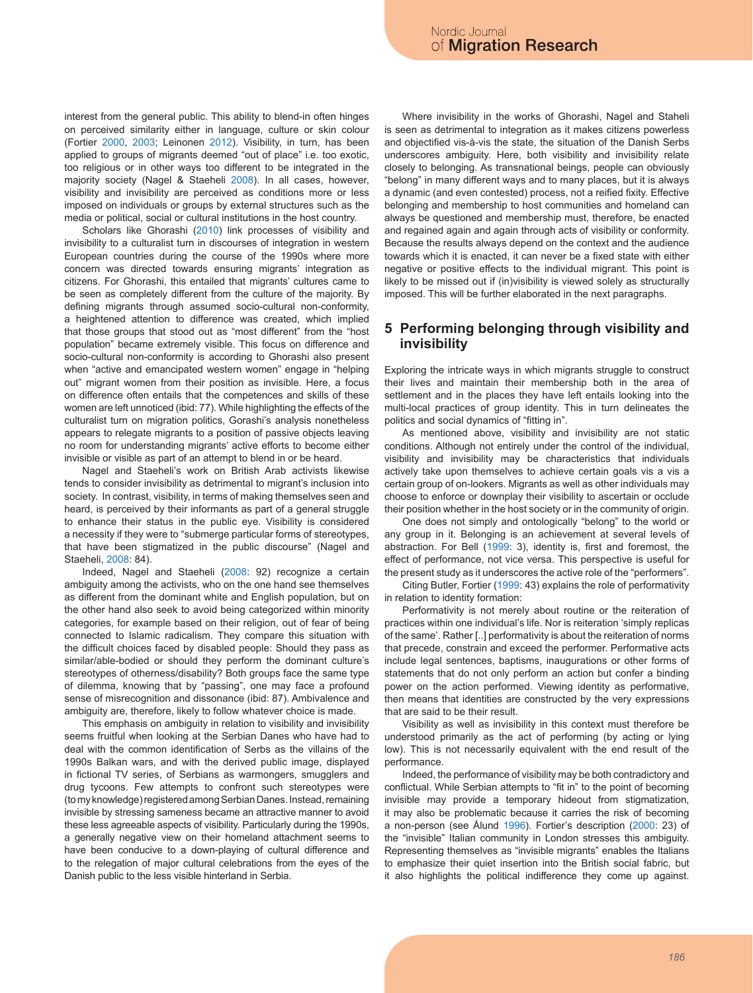interest from the general public. This ability to blend-in often hinges on perceived similarity either in language, culture or skin colour (Fortier 2000, 2003; Leinonen 2012). Visibility, in turn, has been applied to groups of migrants deemed "out of place" i.e. too exotic, too religious or in other ways too different to be integrated in the majority society (Nagel & Staeheli 2008). In all cases, however, visibility and invisibility are perceived as conditions more or less imposed on individuals or groups by external structures such as the media or political, social or cultural institutions in the host country.

Scholars like Ghorashi (2010) link processes of visibility and invisibility to a culturalist turn in discourses of integration in western European countries during the course of the 1990s where more concern was directed towards ensuring migrants' integration as citizens. For Ghorashi, this entailed that migrants' cultures came to be seen as completely different from the culture of the majority. By defining migrants through assumed socio-cultural non-conformity, a heightened attention to difference was created, which implied that those groups that stood out as "most different" from the "host population" became extremely visible. This focus on difference and socio-cultural non-conformity is according to Ghorashi also present when "active and emancipated western women" engage in "helping out" migrant women from their position as invisible. Here, a focus on difference often entails that the competences and skills of these women are left unnoticed (ibid: 77). While highlighting the effects of the culturalist turn on migration politics, Gorashi's analysis nonetheless appears to relegate migrants to a position of passive objects leaving no room for understanding migrants' active efforts to become either invisible or visible as part of an attempt to blend in or be heard.

Nagel and Staeheli's work on British Arab activists likewise tends to consider invisibility as detrimental to migrant's inclusion into society. In contrast, visibility, in terms of making themselves seen and heard, is perceived by their informants as part of a general struggle to enhance their status in the public eye. Visibility is considered a necessity if they were to "submerge particular forms of stereotypes, that have been stigmatized in the public discourse" (Nagel and Staeheli, 2008: 84).

Indeed, Nagel and Staeheli (2008: 92) recognize a certain ambiguity among the activists, who on the one hand see themselves as different from the dominant white and English population, but on the other hand also seek to avoid being categorized within minority categories, for example based on their religion, out of fear of being connected to Islamic radicalism. They compare this situation with the difficult choices faced by disabled people: Should they pass as similar/able-bodied or should they perform the dominant culture's stereotypes of otherness/disability? Both groups face the same type of dilemma, knowing that by "passing", one may face a profound sense of misrecognition and dissonance (ibid: 87). Ambivalence and ambiguity are, therefore, likely to follow whatever choice is made.

This emphasis on ambiguity in relation to visibility and invisibility seems fruitful when looking at the Serbian Danes who have had to deal with the common identification of Serbs as the villains of the 1990s Balkan wars, and with the derived public image, displayed in fictional TV series, of Serbians as warmongers, smugglers and drug tycoons. Few attempts to confront such stereotypes were (to my knowledge) registered among Serbian Danes. Instead, remaining invisible by stressing sameness became an attractive manner to avoid these less agreeable aspects of visibility. Particularly during the 1990s, a generally negative view on their homeland attachment seems to have been conducive to a down-playing of cultural difference and to the relegation of major cultural celebrations from the eyes of the Danish public to the less visible hinterland in Serbia.

Where invisibility in the works of Ghorashi, Nagel and Staheli is seen as detrimental to integration as it makes citizens powerless and objectified vis-à-vis the state, the situation of the Danish Serbs underscores ambiguity. Here, both visibility and invisibility relate closely to belonging. As transnational beings, people can obviously "belong" in many different ways and to many places, but it is always a dynamic (and even contested) process, not a reified fixity. Effective belonging and membership to host communities and homeland can always be questioned and membership must, therefore, be enacted and regained again and again through acts of visibility or conformity. Because the results always depend on the context and the audience towards which it is enacted, it can never be a fixed state with either negative or positive effects to the individual migrant. This point is likely to be missed out if (in)visibility is viewed solely as structurally imposed. This will be further elaborated in the next paragraphs.

#### **5 Performing belonging through visibility and invisibility**

Exploring the intricate ways in which migrants struggle to construct their lives and maintain their membership both in the area of settlement and in the places they have left entails looking into the multi-local practices of group identity. This in turn delineates the politics and social dynamics of "fitting in".

As mentioned above, visibility and invisibility are not static conditions. Although not entirely under the control of the individual, visibility and invisibility may be characteristics that individuals actively take upon themselves to achieve certain goals vis a vis a certain group of on-lookers. Migrants as well as other individuals may choose to enforce or downplay their visibility to ascertain or occlude their position whether in the host society or in the community of origin.

One does not simply and ontologically "belong" to the world or any group in it. Belonging is an achievement at several levels of abstraction. For Bell (1999: 3), identity is, first and foremost, the effect of performance, not vice versa. This perspective is useful for the present study as it underscores the active role of the "performers".

Citing Butler, Fortier (1999: 43) explains the role of performativity in relation to identity formation:

Performativity is not merely about routine or the reiteration of practices within one individual's life. Nor is reiteration 'simply replicas of the same'. Rather [..] performativity is about the reiteration of norms that precede, constrain and exceed the performer. Performative acts include legal sentences, baptisms, inaugurations or other forms of statements that do not only perform an action but confer a binding power on the action performed. Viewing identity as performative, then means that identities are constructed by the very expressions that are said to be their result.

Visibility as well as invisibility in this context must therefore be understood primarily as the act of performing (by acting or lying low). This is not necessarily equivalent with the end result of the performance.

Indeed, the performance of visibility may be both contradictory and conflictual. While Serbian attempts to "fit in" to the point of becoming invisible may provide a temporary hideout from stigmatization, it may also be problematic because it carries the risk of becoming a non-person (see Ålund 1996). Fortier's description (2000: 23) of the "invisible" Italian community in London stresses this ambiguity. Representing themselves as "invisible migrants" enables the Italians to emphasize their quiet insertion into the British social fabric, but it also highlights the political indifference they come up against.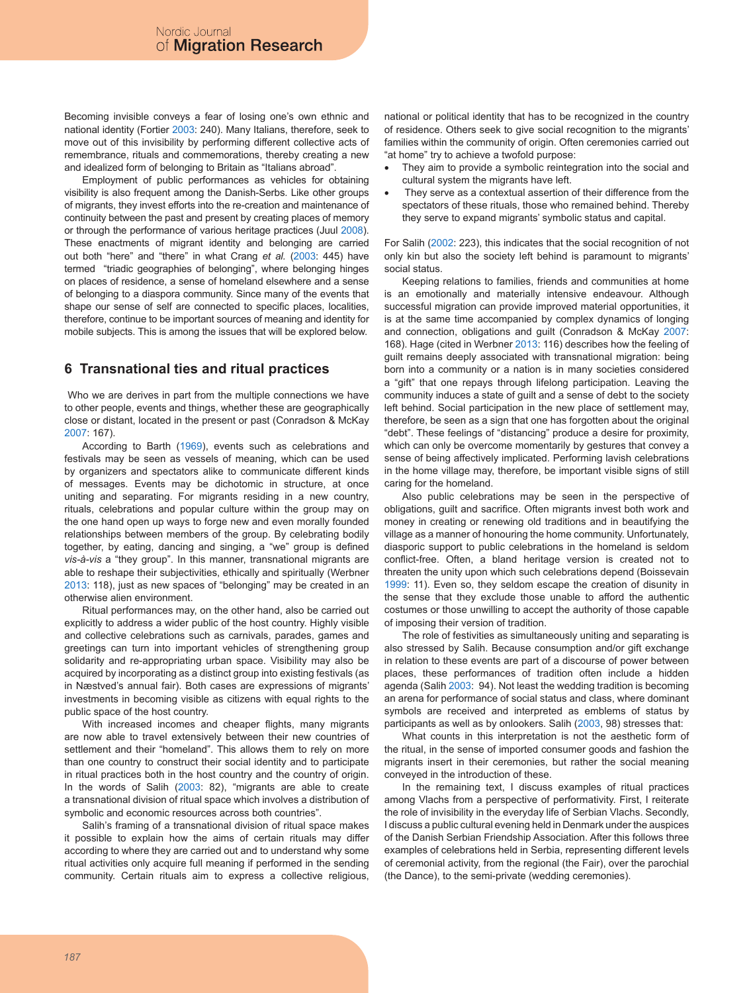Becoming invisible conveys a fear of losing one's own ethnic and national identity (Fortier 2003: 240). Many Italians, therefore, seek to move out of this invisibility by performing different collective acts of remembrance, rituals and commemorations, thereby creating a new and idealized form of belonging to Britain as "Italians abroad".

Employment of public performances as vehicles for obtaining visibility is also frequent among the Danish-Serbs. Like other groups of migrants, they invest efforts into the re-creation and maintenance of continuity between the past and present by creating places of memory or through the performance of various heritage practices (Juul 2008). These enactments of migrant identity and belonging are carried out both "here" and "there" in what Crang *et al.* (2003: 445) have termed "triadic geographies of belonging", where belonging hinges on places of residence, a sense of homeland elsewhere and a sense of belonging to a diaspora community. Since many of the events that shape our sense of self are connected to specific places, localities, therefore, continue to be important sources of meaning and identity for mobile subjects. This is among the issues that will be explored below.

#### **6 Transnational ties and ritual practices**

 Who we are derives in part from the multiple connections we have to other people, events and things, whether these are geographically close or distant, located in the present or past (Conradson & McKay 2007: 167).

According to Barth (1969), events such as celebrations and festivals may be seen as vessels of meaning, which can be used by organizers and spectators alike to communicate different kinds of messages. Events may be dichotomic in structure, at once uniting and separating. For migrants residing in a new country, rituals, celebrations and popular culture within the group may on the one hand open up ways to forge new and even morally founded relationships between members of the group. By celebrating bodily together, by eating, dancing and singing, a "we" group is defined *vis-à-vis* a "they group". In this manner, transnational migrants are able to reshape their subjectivities, ethically and spiritually (Werbner 2013: 118), just as new spaces of "belonging" may be created in an otherwise alien environment.

Ritual performances may, on the other hand, also be carried out explicitly to address a wider public of the host country. Highly visible and collective celebrations such as carnivals, parades, games and greetings can turn into important vehicles of strengthening group solidarity and re-appropriating urban space. Visibility may also be acquired by incorporating as a distinct group into existing festivals (as in Næstved's annual fair). Both cases are expressions of migrants' investments in becoming visible as citizens with equal rights to the public space of the host country.

With increased incomes and cheaper flights, many migrants are now able to travel extensively between their new countries of settlement and their "homeland". This allows them to rely on more than one country to construct their social identity and to participate in ritual practices both in the host country and the country of origin. In the words of Salih (2003: 82), "migrants are able to create a transnational division of ritual space which involves a distribution of symbolic and economic resources across both countries".

Salih's framing of a transnational division of ritual space makes it possible to explain how the aims of certain rituals may differ according to where they are carried out and to understand why some ritual activities only acquire full meaning if performed in the sending community. Certain rituals aim to express a collective religious, national or political identity that has to be recognized in the country of residence. Others seek to give social recognition to the migrants' families within the community of origin. Often ceremonies carried out "at home" try to achieve a twofold purpose:

- They aim to provide a symbolic reintegration into the social and cultural system the migrants have left.
- They serve as a contextual assertion of their difference from the spectators of these rituals, those who remained behind. Thereby they serve to expand migrants' symbolic status and capital.

For Salih (2002: 223), this indicates that the social recognition of not only kin but also the society left behind is paramount to migrants' social status.

Keeping relations to families, friends and communities at home is an emotionally and materially intensive endeavour. Although successful migration can provide improved material opportunities, it is at the same time accompanied by complex dynamics of longing and connection, obligations and guilt (Conradson & McKay 2007: 168). Hage (cited in Werbner 2013: 116) describes how the feeling of guilt remains deeply associated with transnational migration: being born into a community or a nation is in many societies considered a "gift" that one repays through lifelong participation. Leaving the community induces a state of guilt and a sense of debt to the society left behind. Social participation in the new place of settlement may, therefore, be seen as a sign that one has forgotten about the original "debt". These feelings of "distancing" produce a desire for proximity, which can only be overcome momentarily by gestures that convey a sense of being affectively implicated. Performing lavish celebrations in the home village may, therefore, be important visible signs of still caring for the homeland.

Also public celebrations may be seen in the perspective of obligations, guilt and sacrifice. Often migrants invest both work and money in creating or renewing old traditions and in beautifying the village as a manner of honouring the home community. Unfortunately, diasporic support to public celebrations in the homeland is seldom conflict-free. Often, a bland heritage version is created not to threaten the unity upon which such celebrations depend (Boissevain 1999: 11). Even so, they seldom escape the creation of disunity in the sense that they exclude those unable to afford the authentic costumes or those unwilling to accept the authority of those capable of imposing their version of tradition.

The role of festivities as simultaneously uniting and separating is also stressed by Salih. Because consumption and/or gift exchange in relation to these events are part of a discourse of power between places, these performances of tradition often include a hidden agenda (Salih 2003: 94). Not least the wedding tradition is becoming an arena for performance of social status and class, where dominant symbols are received and interpreted as emblems of status by participants as well as by onlookers. Salih (2003, 98) stresses that:

What counts in this interpretation is not the aesthetic form of the ritual, in the sense of imported consumer goods and fashion the migrants insert in their ceremonies, but rather the social meaning conveyed in the introduction of these.

In the remaining text, I discuss examples of ritual practices among Vlachs from a perspective of performativity. First, I reiterate the role of invisibility in the everyday life of Serbian Vlachs. Secondly, I discuss a public cultural evening held in Denmark under the auspices of the Danish Serbian Friendship Association. After this follows three examples of celebrations held in Serbia, representing different levels of ceremonial activity, from the regional (the Fair), over the parochial (the Dance), to the semi-private (wedding ceremonies).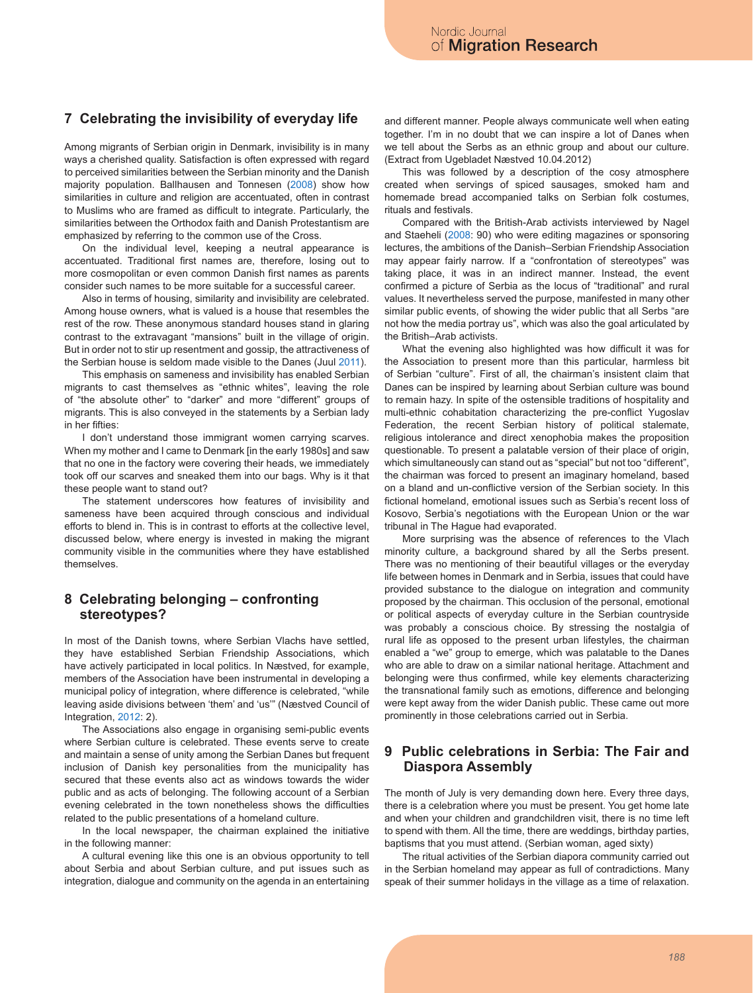#### **7 Celebrating the invisibility of everyday life**

Among migrants of Serbian origin in Denmark, invisibility is in many ways a cherished quality. Satisfaction is often expressed with regard to perceived similarities between the Serbian minority and the Danish majority population. Ballhausen and Tonnesen (2008) show how similarities in culture and religion are accentuated, often in contrast to Muslims who are framed as difficult to integrate. Particularly, the similarities between the Orthodox faith and Danish Protestantism are emphasized by referring to the common use of the Cross.

On the individual level, keeping a neutral appearance is accentuated. Traditional first names are, therefore, losing out to more cosmopolitan or even common Danish first names as parents consider such names to be more suitable for a successful career.

Also in terms of housing, similarity and invisibility are celebrated. Among house owners, what is valued is a house that resembles the rest of the row. These anonymous standard houses stand in glaring contrast to the extravagant "mansions" built in the village of origin. But in order not to stir up resentment and gossip, the attractiveness of the Serbian house is seldom made visible to the Danes (Juul 2011).

This emphasis on sameness and invisibility has enabled Serbian migrants to cast themselves as "ethnic whites", leaving the role of "the absolute other" to "darker" and more "different" groups of migrants. This is also conveyed in the statements by a Serbian lady in her fifties:

I don't understand those immigrant women carrying scarves. When my mother and I came to Denmark [in the early 1980s] and saw that no one in the factory were covering their heads, we immediately took off our scarves and sneaked them into our bags. Why is it that these people want to stand out?

The statement underscores how features of invisibility and sameness have been acquired through conscious and individual efforts to blend in. This is in contrast to efforts at the collective level, discussed below, where energy is invested in making the migrant community visible in the communities where they have established themselves.

#### **8 Celebrating belonging – confronting stereotypes?**

In most of the Danish towns, where Serbian Vlachs have settled, they have established Serbian Friendship Associations, which have actively participated in local politics. In Næstved, for example, members of the Association have been instrumental in developing a municipal policy of integration, where difference is celebrated, "while leaving aside divisions between 'them' and 'us'" (Næstved Council of Integration, 2012: 2).

The Associations also engage in organising semi-public events where Serbian culture is celebrated. These events serve to create and maintain a sense of unity among the Serbian Danes but frequent inclusion of Danish key personalities from the municipality has secured that these events also act as windows towards the wider public and as acts of belonging. The following account of a Serbian evening celebrated in the town nonetheless shows the difficulties related to the public presentations of a homeland culture.

In the local newspaper, the chairman explained the initiative in the following manner:

A cultural evening like this one is an obvious opportunity to tell about Serbia and about Serbian culture, and put issues such as integration, dialogue and community on the agenda in an entertaining and different manner. People always communicate well when eating together. I'm in no doubt that we can inspire a lot of Danes when we tell about the Serbs as an ethnic group and about our culture. (Extract from Ugebladet Næstved 10.04.2012)

This was followed by a description of the cosy atmosphere created when servings of spiced sausages, smoked ham and homemade bread accompanied talks on Serbian folk costumes, rituals and festivals.

Compared with the British-Arab activists interviewed by Nagel and Staeheli (2008: 90) who were editing magazines or sponsoring lectures, the ambitions of the Danish–Serbian Friendship Association may appear fairly narrow. If a "confrontation of stereotypes" was taking place, it was in an indirect manner. Instead, the event confirmed a picture of Serbia as the locus of "traditional" and rural values. It nevertheless served the purpose, manifested in many other similar public events, of showing the wider public that all Serbs "are not how the media portray us", which was also the goal articulated by the British–Arab activists.

What the evening also highlighted was how difficult it was for the Association to present more than this particular, harmless bit of Serbian "culture". First of all, the chairman's insistent claim that Danes can be inspired by learning about Serbian culture was bound to remain hazy. In spite of the ostensible traditions of hospitality and multi-ethnic cohabitation characterizing the pre-conflict Yugoslav Federation, the recent Serbian history of political stalemate, religious intolerance and direct xenophobia makes the proposition questionable. To present a palatable version of their place of origin, which simultaneously can stand out as "special" but not too "different", the chairman was forced to present an imaginary homeland, based on a bland and un-conflictive version of the Serbian society. In this fictional homeland, emotional issues such as Serbia's recent loss of Kosovo, Serbia's negotiations with the European Union or the war tribunal in The Hague had evaporated.

More surprising was the absence of references to the Vlach minority culture, a background shared by all the Serbs present. There was no mentioning of their beautiful villages or the everyday life between homes in Denmark and in Serbia, issues that could have provided substance to the dialogue on integration and community proposed by the chairman. This occlusion of the personal, emotional or political aspects of everyday culture in the Serbian countryside was probably a conscious choice. By stressing the nostalgia of rural life as opposed to the present urban lifestyles, the chairman enabled a "we" group to emerge, which was palatable to the Danes who are able to draw on a similar national heritage. Attachment and belonging were thus confirmed, while key elements characterizing the transnational family such as emotions, difference and belonging were kept away from the wider Danish public. These came out more prominently in those celebrations carried out in Serbia.

#### **9 Public celebrations in Serbia: The Fair and Diaspora Assembly**

The month of July is very demanding down here. Every three days, there is a celebration where you must be present. You get home late and when your children and grandchildren visit, there is no time left to spend with them. All the time, there are weddings, birthday parties, baptisms that you must attend. (Serbian woman, aged sixty)

The ritual activities of the Serbian diapora community carried out in the Serbian homeland may appear as full of contradictions. Many speak of their summer holidays in the village as a time of relaxation.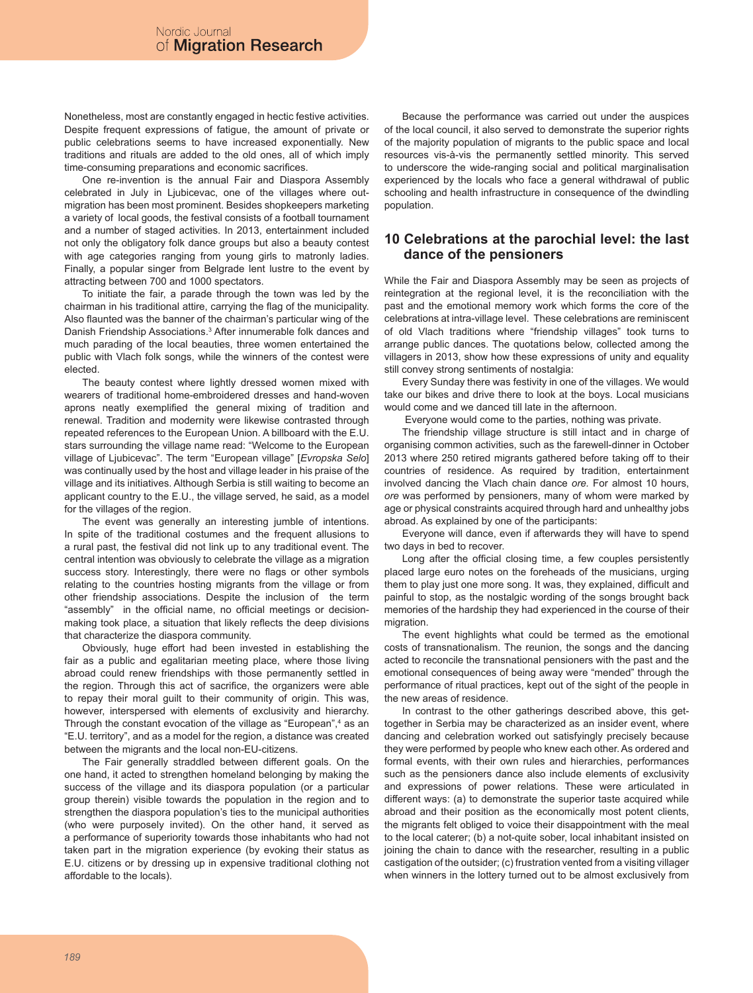Nonetheless, most are constantly engaged in hectic festive activities. Despite frequent expressions of fatigue, the amount of private or public celebrations seems to have increased exponentially. New traditions and rituals are added to the old ones, all of which imply time-consuming preparations and economic sacrifices.

One re-invention is the annual Fair and Diaspora Assembly celebrated in July in Ljubicevac, one of the villages where outmigration has been most prominent. Besides shopkeepers marketing a variety of local goods, the festival consists of a football tournament and a number of staged activities. In 2013, entertainment included not only the obligatory folk dance groups but also a beauty contest with age categories ranging from young girls to matronly ladies. Finally, a popular singer from Belgrade lent lustre to the event by attracting between 700 and 1000 spectators.

To initiate the fair, a parade through the town was led by the chairman in his traditional attire, carrying the flag of the municipality. Also flaunted was the banner of the chairman's particular wing of the Danish Friendship Associations.<sup>3</sup> After innumerable folk dances and much parading of the local beauties, three women entertained the public with Vlach folk songs, while the winners of the contest were elected.

The beauty contest where lightly dressed women mixed with wearers of traditional home-embroidered dresses and hand-woven aprons neatly exemplified the general mixing of tradition and renewal. Tradition and modernity were likewise contrasted through repeated references to the European Union. A billboard with the E.U. stars surrounding the village name read: "Welcome to the European village of Ljubicevac". The term "European village" [*Evropska Selo*] was continually used by the host and village leader in his praise of the village and its initiatives. Although Serbia is still waiting to become an applicant country to the E.U., the village served, he said, as a model for the villages of the region.

The event was generally an interesting jumble of intentions. In spite of the traditional costumes and the frequent allusions to a rural past, the festival did not link up to any traditional event. The central intention was obviously to celebrate the village as a migration success story. Interestingly, there were no flags or other symbols relating to the countries hosting migrants from the village or from other friendship associations. Despite the inclusion of the term "assembly" in the official name, no official meetings or decisionmaking took place, a situation that likely reflects the deep divisions that characterize the diaspora community.

Obviously, huge effort had been invested in establishing the fair as a public and egalitarian meeting place, where those living abroad could renew friendships with those permanently settled in the region. Through this act of sacrifice, the organizers were able to repay their moral guilt to their community of origin. This was, however, interspersed with elements of exclusivity and hierarchy. Through the constant evocation of the village as "European",<sup>4</sup> as an "E.U. territory", and as a model for the region, a distance was created between the migrants and the local non-EU-citizens.

The Fair generally straddled between different goals. On the one hand, it acted to strengthen homeland belonging by making the success of the village and its diaspora population (or a particular group therein) visible towards the population in the region and to strengthen the diaspora population's ties to the municipal authorities (who were purposely invited). On the other hand, it served as a performance of superiority towards those inhabitants who had not taken part in the migration experience (by evoking their status as E.U. citizens or by dressing up in expensive traditional clothing not affordable to the locals).

Because the performance was carried out under the auspices of the local council, it also served to demonstrate the superior rights of the majority population of migrants to the public space and local resources vis-à-vis the permanently settled minority. This served to underscore the wide-ranging social and political marginalisation experienced by the locals who face a general withdrawal of public schooling and health infrastructure in consequence of the dwindling population.

#### **10 Celebrations at the parochial level: the last dance of the pensioners**

While the Fair and Diaspora Assembly may be seen as projects of reintegration at the regional level, it is the reconciliation with the past and the emotional memory work which forms the core of the celebrations at intra-village level. These celebrations are reminiscent of old Vlach traditions where "friendship villages" took turns to arrange public dances. The quotations below, collected among the villagers in 2013, show how these expressions of unity and equality still convey strong sentiments of nostalgia:

Every Sunday there was festivity in one of the villages. We would take our bikes and drive there to look at the boys. Local musicians would come and we danced till late in the afternoon.

Everyone would come to the parties, nothing was private.

The friendship village structure is still intact and in charge of organising common activities, such as the farewell-dinner in October 2013 where 250 retired migrants gathered before taking off to their countries of residence. As required by tradition, entertainment involved dancing the Vlach chain dance *ore.* For almost 10 hours, *ore* was performed by pensioners, many of whom were marked by age or physical constraints acquired through hard and unhealthy jobs abroad. As explained by one of the participants:

Everyone will dance, even if afterwards they will have to spend two days in bed to recover.

Long after the official closing time, a few couples persistently placed large euro notes on the foreheads of the musicians, urging them to play just one more song. It was, they explained, difficult and painful to stop, as the nostalgic wording of the songs brought back memories of the hardship they had experienced in the course of their migration.

The event highlights what could be termed as the emotional costs of transnationalism. The reunion, the songs and the dancing acted to reconcile the transnational pensioners with the past and the emotional consequences of being away were "mended" through the performance of ritual practices, kept out of the sight of the people in the new areas of residence.

In contrast to the other gatherings described above, this gettogether in Serbia may be characterized as an insider event, where dancing and celebration worked out satisfyingly precisely because they were performed by people who knew each other. As ordered and formal events, with their own rules and hierarchies, performances such as the pensioners dance also include elements of exclusivity and expressions of power relations. These were articulated in different ways: (a) to demonstrate the superior taste acquired while abroad and their position as the economically most potent clients, the migrants felt obliged to voice their disappointment with the meal to the local caterer; (b) a not-quite sober, local inhabitant insisted on joining the chain to dance with the researcher, resulting in a public castigation of the outsider; (c) frustration vented from a visiting villager when winners in the lottery turned out to be almost exclusively from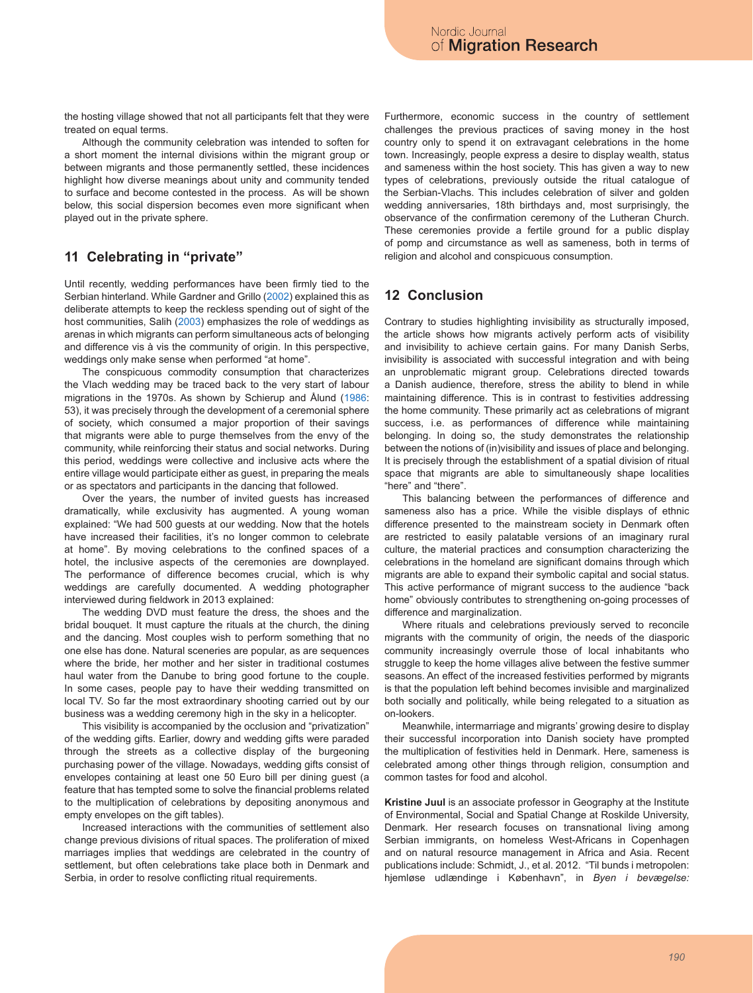the hosting village showed that not all participants felt that they were treated on equal terms.

Although the community celebration was intended to soften for a short moment the internal divisions within the migrant group or between migrants and those permanently settled, these incidences highlight how diverse meanings about unity and community tended to surface and become contested in the process. As will be shown below, this social dispersion becomes even more significant when played out in the private sphere.

## **11 Celebrating in "private"**

Until recently, wedding performances have been firmly tied to the Serbian hinterland. While Gardner and Grillo (2002) explained this as deliberate attempts to keep the reckless spending out of sight of the host communities, Salih (2003) emphasizes the role of weddings as arenas in which migrants can perform simultaneous acts of belonging and difference vis à vis the community of origin. In this perspective, weddings only make sense when performed "at home".

The conspicuous commodity consumption that characterizes the Vlach wedding may be traced back to the very start of labour migrations in the 1970s. As shown by Schierup and Ålund (1986: 53), it was precisely through the development of a ceremonial sphere of society, which consumed a major proportion of their savings that migrants were able to purge themselves from the envy of the community, while reinforcing their status and social networks. During this period, weddings were collective and inclusive acts where the entire village would participate either as guest, in preparing the meals or as spectators and participants in the dancing that followed.

Over the years, the number of invited guests has increased dramatically, while exclusivity has augmented. A young woman explained: "We had 500 guests at our wedding. Now that the hotels have increased their facilities, it's no longer common to celebrate at home". By moving celebrations to the confined spaces of a hotel, the inclusive aspects of the ceremonies are downplayed. The performance of difference becomes crucial, which is why weddings are carefully documented. A wedding photographer interviewed during fieldwork in 2013 explained:

The wedding DVD must feature the dress, the shoes and the bridal bouquet. It must capture the rituals at the church, the dining and the dancing. Most couples wish to perform something that no one else has done. Natural sceneries are popular, as are sequences where the bride, her mother and her sister in traditional costumes haul water from the Danube to bring good fortune to the couple. In some cases, people pay to have their wedding transmitted on local TV. So far the most extraordinary shooting carried out by our business was a wedding ceremony high in the sky in a helicopter.

This visibility is accompanied by the occlusion and "privatization" of the wedding gifts. Earlier, dowry and wedding gifts were paraded through the streets as a collective display of the burgeoning purchasing power of the village. Nowadays, wedding gifts consist of envelopes containing at least one 50 Euro bill per dining guest (a feature that has tempted some to solve the financial problems related to the multiplication of celebrations by depositing anonymous and empty envelopes on the gift tables).

Increased interactions with the communities of settlement also change previous divisions of ritual spaces. The proliferation of mixed marriages implies that weddings are celebrated in the country of settlement, but often celebrations take place both in Denmark and Serbia, in order to resolve conflicting ritual requirements.

Furthermore, economic success in the country of settlement challenges the previous practices of saving money in the host country only to spend it on extravagant celebrations in the home town. Increasingly, people express a desire to display wealth, status and sameness within the host society. This has given a way to new types of celebrations, previously outside the ritual catalogue of the Serbian-Vlachs. This includes celebration of silver and golden wedding anniversaries, 18th birthdays and, most surprisingly, the observance of the confirmation ceremony of the Lutheran Church. These ceremonies provide a fertile ground for a public display of pomp and circumstance as well as sameness, both in terms of religion and alcohol and conspicuous consumption.

### **12 Conclusion**

Contrary to studies highlighting invisibility as structurally imposed, the article shows how migrants actively perform acts of visibility and invisibility to achieve certain gains. For many Danish Serbs, invisibility is associated with successful integration and with being an unproblematic migrant group. Celebrations directed towards a Danish audience, therefore, stress the ability to blend in while maintaining difference. This is in contrast to festivities addressing the home community. These primarily act as celebrations of migrant success, i.e. as performances of difference while maintaining belonging. In doing so, the study demonstrates the relationship between the notions of (in)visibility and issues of place and belonging. It is precisely through the establishment of a spatial division of ritual space that migrants are able to simultaneously shape localities "here" and "there".

This balancing between the performances of difference and sameness also has a price. While the visible displays of ethnic difference presented to the mainstream society in Denmark often are restricted to easily palatable versions of an imaginary rural culture, the material practices and consumption characterizing the celebrations in the homeland are significant domains through which migrants are able to expand their symbolic capital and social status. This active performance of migrant success to the audience "back home" obviously contributes to strengthening on-going processes of difference and marginalization.

Where rituals and celebrations previously served to reconcile migrants with the community of origin, the needs of the diasporic community increasingly overrule those of local inhabitants who struggle to keep the home villages alive between the festive summer seasons. An effect of the increased festivities performed by migrants is that the population left behind becomes invisible and marginalized both socially and politically, while being relegated to a situation as on-lookers.

Meanwhile, intermarriage and migrants' growing desire to display their successful incorporation into Danish society have prompted the multiplication of festivities held in Denmark. Here, sameness is celebrated among other things through religion, consumption and common tastes for food and alcohol.

**Kristine Juul** is an associate professor in Geography at the Institute of Environmental, Social and Spatial Change at Roskilde University, Denmark. Her research focuses on transnational living among Serbian immigrants, on homeless West-Africans in Copenhagen and on natural resource management in Africa and Asia. Recent publications include: Schmidt, J., et al. 2012. "[Til bunds i metropolen:](http://rucforsk.ruc.dk/site/da/publications/til-bunds-i-metropolen(aa408488-d87c-40fc-ae8f-a89d328d7bd7).html) [hjemløse udlændinge i København",](http://rucforsk.ruc.dk/site/da/publications/til-bunds-i-metropolen(aa408488-d87c-40fc-ae8f-a89d328d7bd7).html) in *Byen i bevægelse:*